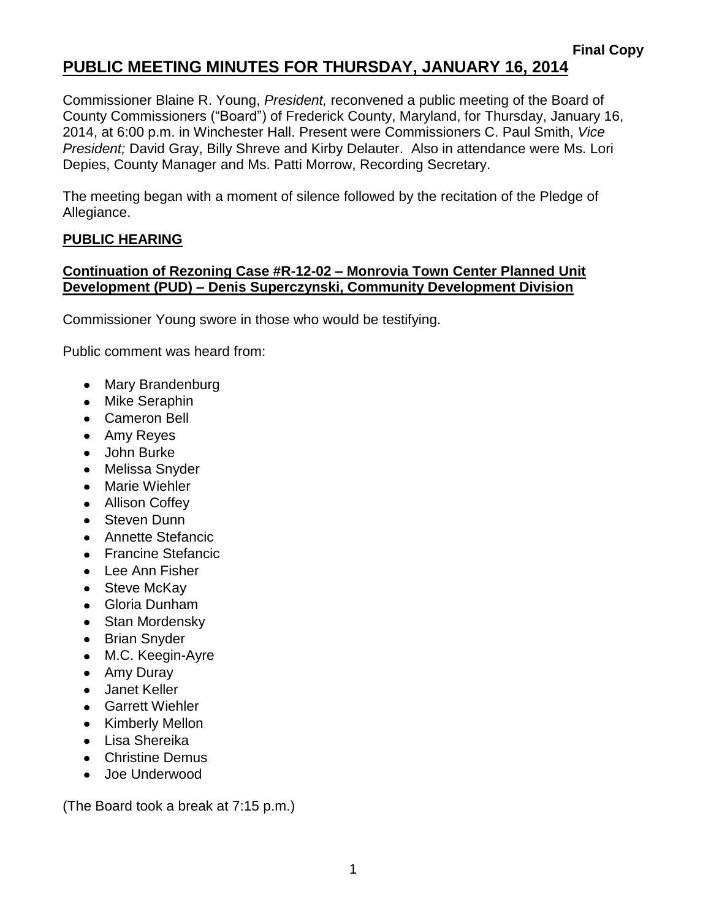### **PUBLIC MEETING MINUTES FOR THURSDAY, JANUARY 16, 2014**

Commissioner Blaine R. Young, *President,* reconvened a public meeting of the Board of County Commissioners ("Board") of Frederick County, Maryland, for Thursday, January 16, 2014, at 6:00 p.m. in Winchester Hall. Present were Commissioners C. Paul Smith, *Vice President;* David Gray, Billy Shreve and Kirby Delauter. Also in attendance were Ms. Lori Depies, County Manager and Ms. Patti Morrow, Recording Secretary.

The meeting began with a moment of silence followed by the recitation of the Pledge of Allegiance.

#### **PUBLIC HEARING**

#### **Continuation of Rezoning Case #R-12-02 – Monrovia Town Center Planned Unit Development (PUD) – Denis Superczynski, Community Development Division**

Commissioner Young swore in those who would be testifying.

Public comment was heard from:

- Mary Brandenburg
- Mike Seraphin
- Cameron Bell
- Amy Reyes
- John Burke
- Melissa Snyder
- Marie Wiehler
- Allison Coffey
- Steven Dunn
- **Annette Stefancic**
- Francine Stefancic
- Lee Ann Fisher
- Steve McKay
- Gloria Dunham
- Stan Mordensky
- Brian Snyder
- M.C. Keegin-Ayre
- Amy Duray
- Janet Keller
- Garrett Wiehler
- Kimberly Mellon
- Lisa Shereika
- Christine Demus
- Joe Underwood

(The Board took a break at 7:15 p.m.)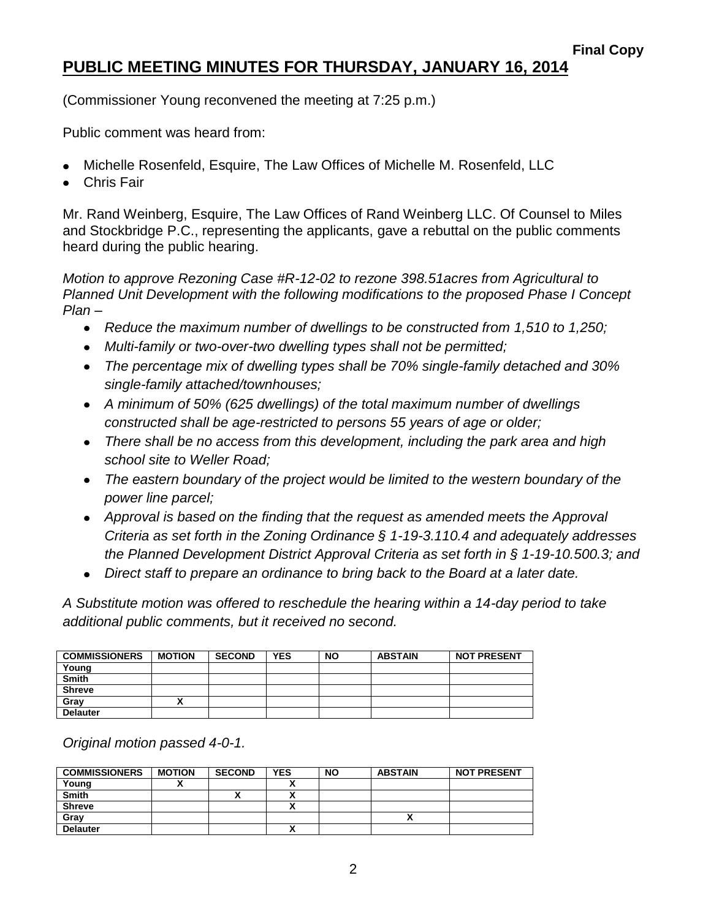## **PUBLIC MEETING MINUTES FOR THURSDAY, JANUARY 16, 2014**

(Commissioner Young reconvened the meeting at 7:25 p.m.)

Public comment was heard from:

- Michelle Rosenfeld, Esquire, The Law Offices of Michelle M. Rosenfeld, LLC
- Chris Fair

Mr. Rand Weinberg, Esquire, The Law Offices of Rand Weinberg LLC. Of Counsel to Miles and Stockbridge P.C., representing the applicants, gave a rebuttal on the public comments heard during the public hearing.

*Motion to approve Rezoning Case #R-12-02 to rezone 398.51acres from Agricultural to Planned Unit Development with the following modifications to the proposed Phase I Concept Plan –*

- *Reduce the maximum number of dwellings to be constructed from 1,510 to 1,250;*
- *Multi-family or two-over-two dwelling types shall not be permitted;*
- *The percentage mix of dwelling types shall be 70% single-family detached and 30% single-family attached/townhouses;*
- *A minimum of 50% (625 dwellings) of the total maximum number of dwellings constructed shall be age-restricted to persons 55 years of age or older;*
- *There shall be no access from this development, including the park area and high school site to Weller Road;*
- *The eastern boundary of the project would be limited to the western boundary of the power line parcel;*
- *Approval is based on the finding that the request as amended meets the Approval Criteria as set forth in the Zoning Ordinance § 1-19-3.110.4 and adequately addresses the Planned Development District Approval Criteria as set forth in § 1-19-10.500.3; and*
- *Direct staff to prepare an ordinance to bring back to the Board at a later date.*

*A Substitute motion was offered to reschedule the hearing within a 14-day period to take additional public comments, but it received no second.*

| <b>COMMISSIONERS</b> | <b>MOTION</b> | <b>SECOND</b> | <b>YES</b> | <b>NO</b> | <b>ABSTAIN</b> | <b>NOT PRESENT</b> |
|----------------------|---------------|---------------|------------|-----------|----------------|--------------------|
| Young                |               |               |            |           |                |                    |
| Smith                |               |               |            |           |                |                    |
| <b>Shreve</b>        |               |               |            |           |                |                    |
| Gray                 |               |               |            |           |                |                    |
| <b>Delauter</b>      |               |               |            |           |                |                    |

*Original motion passed 4-0-1.*

| <b>COMMISSIONERS</b> | <b>MOTION</b> | <b>SECOND</b> | <b>YES</b> | <b>NO</b> | <b>ABSTAIN</b> | <b>NOT PRESENT</b> |
|----------------------|---------------|---------------|------------|-----------|----------------|--------------------|
| Young                |               |               | `          |           |                |                    |
| <b>Smith</b>         |               | ,,            | v<br>~     |           |                |                    |
| <b>Shreve</b>        |               |               |            |           |                |                    |
| Gray                 |               |               |            |           |                |                    |
| <b>Delauter</b>      |               |               | v<br>^     |           |                |                    |